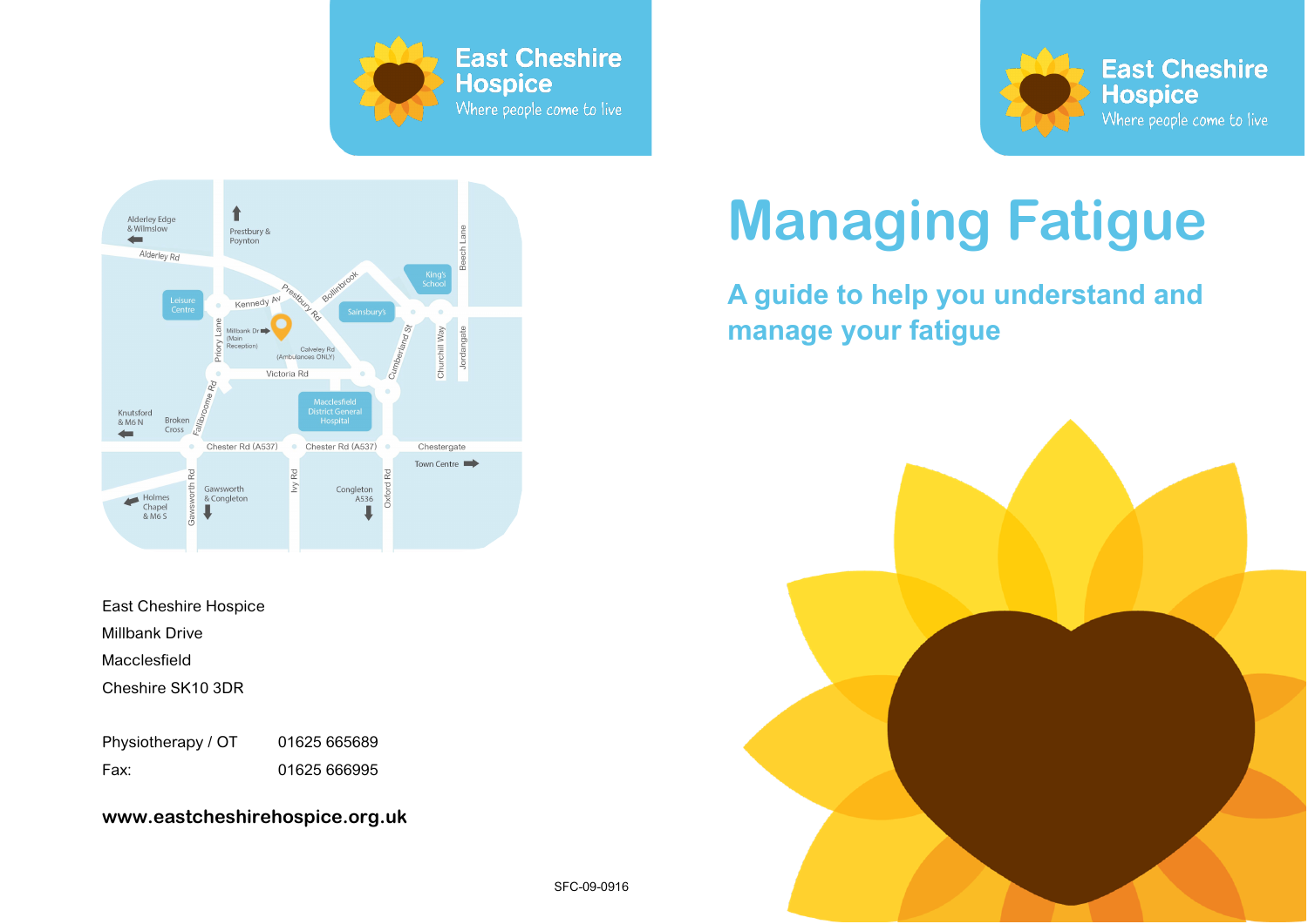





East Cheshire Hospice Millbank Drive Macclesfield Cheshire SK10 3DR

Physiotherapy / OT 01625 665689 Fax: 01625 666995

**www.eastcheshirehospice.org.uk**

# **Managing Fatigue**

## **A guide to help you understand and manage your fatigue**

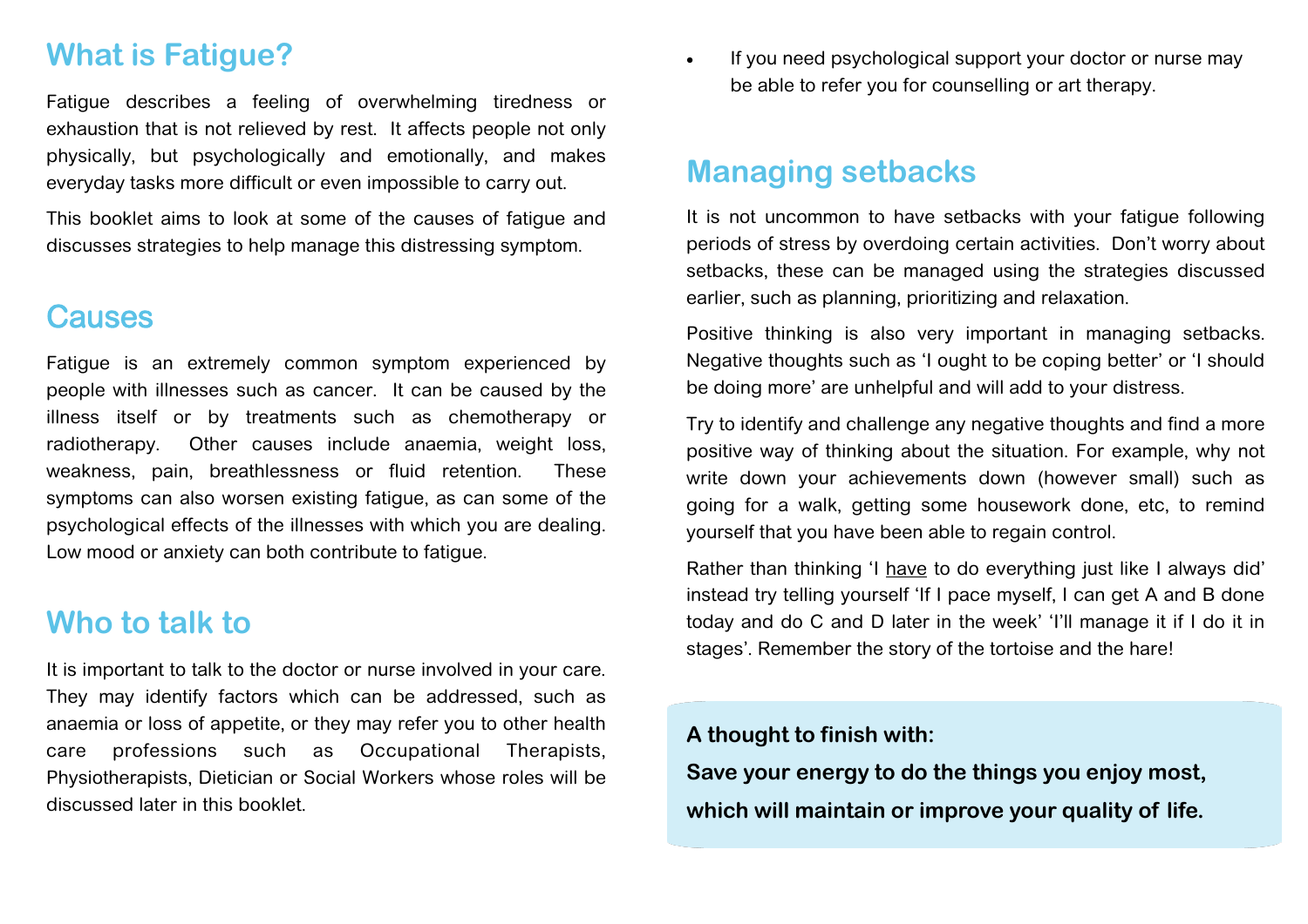#### **What is Fatigue?**

Fatigue describes a feeling of overwhelming tiredness or exhaustion that is not relieved by rest. It affects people not only physically, but psychologically and emotionally, and makes everyday tasks more difficult or even impossible to carry out.

This booklet aims to look at some of the causes of fatigue and discusses strategies to help manage this distressing symptom.

#### **Causes**

Fatigue is an extremely common symptom experienced by people with illnesses such as cancer. It can be caused by the illness itself or by treatments such as chemotherapy or radiotherapy. Other causes include anaemia, weight loss, weakness, pain, breathlessness or fluid retention. These symptoms can also worsen existing fatigue, as can some of the psychological effects of the illnesses with which you are dealing. Low mood or anxiety can both contribute to fatigue.

#### **Who to talk to**

It is important to talk to the doctor or nurse involved in your care. They may identify factors which can be addressed, such as anaemia or loss of appetite, or they may refer you to other health care professions such as Occupational Therapists, Physiotherapists, Dietician or Social Workers whose roles will be discussed later in this booklet.

• If you need psychological support your doctor or nurse may be able to refer you for counselling or art therapy.

#### **Managing setbacks**

It is not uncommon to have setbacks with your fatigue following periods of stress by overdoing certain activities. Don't worry about setbacks, these can be managed using the strategies discussed earlier, such as planning, prioritizing and relaxation.

Positive thinking is also very important in managing setbacks. Negative thoughts such as 'I ought to be coping better' or 'I should be doing more' are unhelpful and will add to your distress.

Try to identify and challenge any negative thoughts and find a more positive way of thinking about the situation. For example, why not write down your achievements down (however small) such as going for a walk, getting some housework done, etc, to remind yourself that you have been able to regain control.

Rather than thinking 'I have to do everything just like I always did' instead try telling yourself 'If I pace myself, I can get A and B done today and do C and D later in the week' 'I'll manage it if I do it in stages'. Remember the story of the tortoise and the hare!

#### **A thought to finish with:**

**Save your energy to do the things you enjoy most, which will maintain or improve your quality of life.**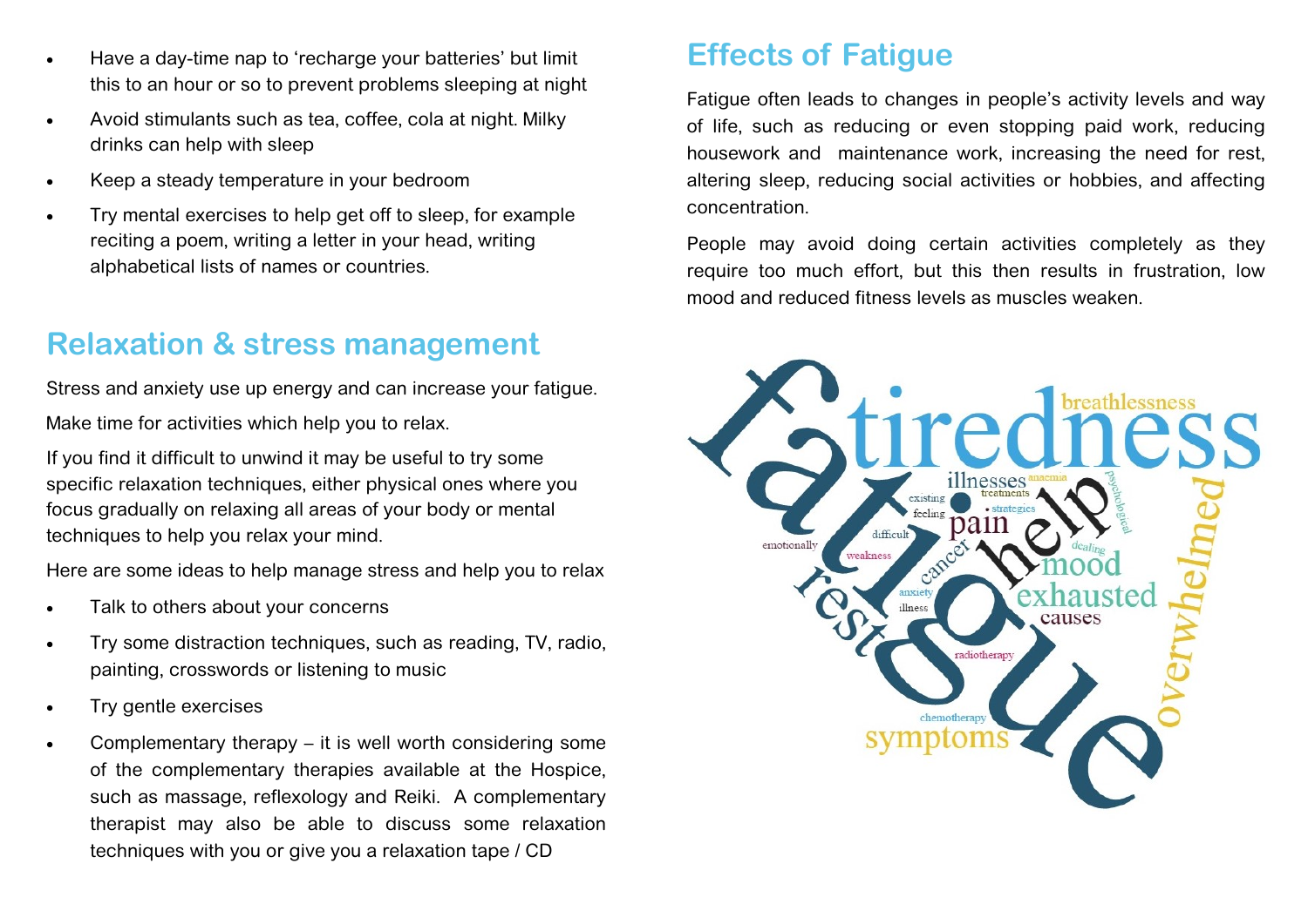- Have a day-time nap to 'recharge your batteries' but limit this to an hour or so to prevent problems sleeping at night
- Avoid stimulants such as tea, coffee, cola at night. Milky drinks can help with sleep
- Keep a steady temperature in your bedroom
- Try mental exercises to help get off to sleep, for example reciting a poem, writing a letter in your head, writing alphabetical lists of names or countries.

#### **Relaxation & stress management**

Stress and anxiety use up energy and can increase your fatigue. Make time for activities which help you to relax.

If you find it difficult to unwind it may be useful to try some specific relaxation techniques, either physical ones where you focus gradually on relaxing all areas of your body or mental techniques to help you relax your mind.

Here are some ideas to help manage stress and help you to relax

- Talk to others about your concerns
- Try some distraction techniques, such as reading, TV, radio, painting, crosswords or listening to music
- Try gentle exercises
- Complementary therapy it is well worth considering some of the complementary therapies available at the Hospice, such as massage, reflexology and Reiki. A complementary therapist may also be able to discuss some relaxation techniques with you or give you a relaxation tape / CD

## **Effects of Fatigue**

Fatigue often leads to changes in people's activity levels and way of life, such as reducing or even stopping paid work, reducing housework and maintenance work, increasing the need for rest, altering sleep, reducing social activities or hobbies, and affecting concentration.

People may avoid doing certain activities completely as they require too much effort, but this then results in frustration, low mood and reduced fitness levels as muscles weaken.

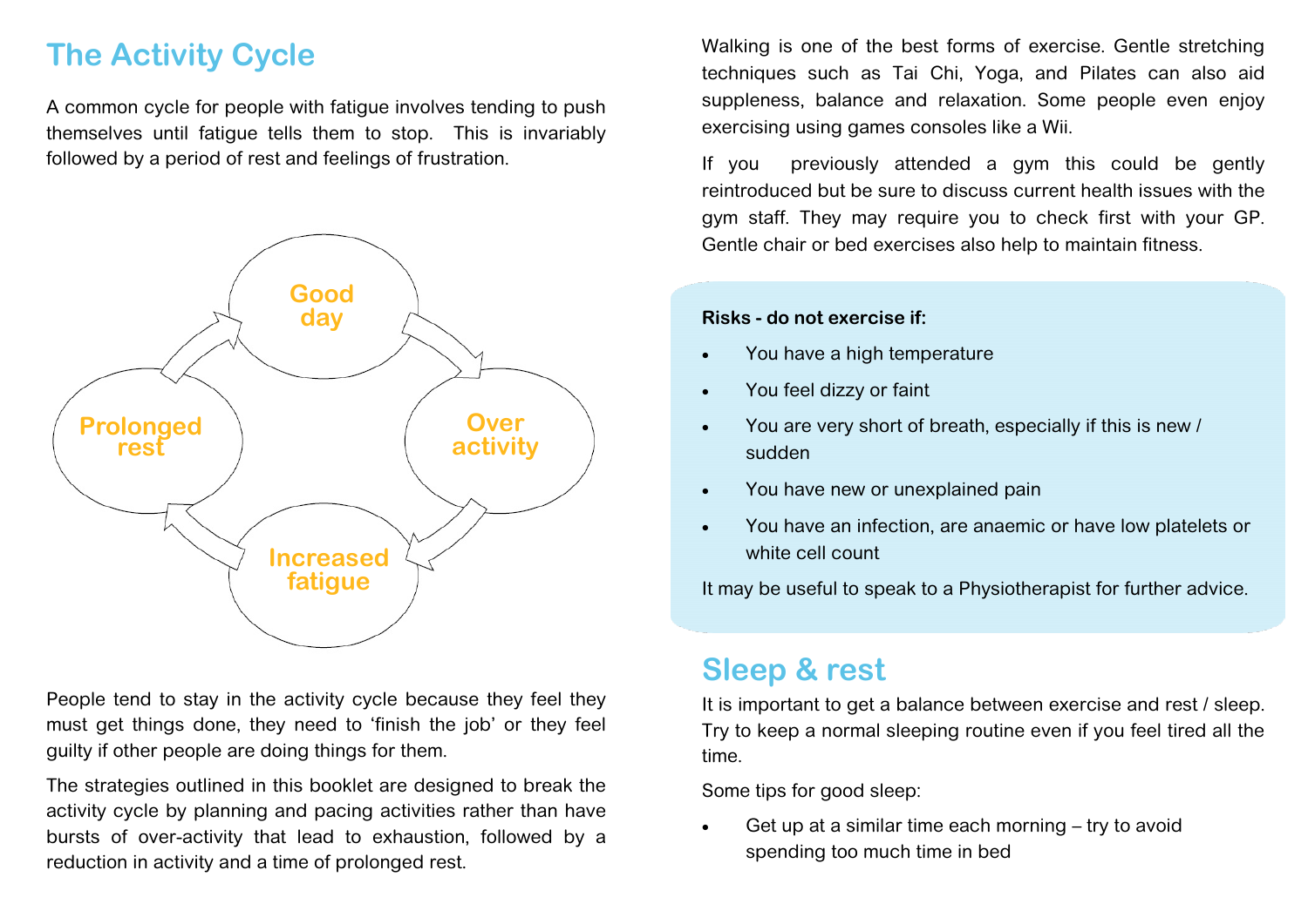# **The Activity Cycle**

A common cycle for people with fatigue involves tending to push themselves until fatigue tells them to stop. This is invariably followed by a period of rest and feelings of frustration.



People tend to stay in the activity cycle because they feel they must get things done, they need to 'finish the job' or they feel guilty if other people are doing things for them.

The strategies outlined in this booklet are designed to break the activity cycle by planning and pacing activities rather than have bursts of over-activity that lead to exhaustion, followed by a reduction in activity and a time of prolonged rest.

Walking is one of the best forms of exercise. Gentle stretching techniques such as Tai Chi, Yoga, and Pilates can also aid suppleness, balance and relaxation. Some people even enjoy exercising using games consoles like a Wii.

If you previously attended a gym this could be gently reintroduced but be sure to discuss current health issues with the gym staff. They may require you to check first with your GP. Gentle chair or bed exercises also help to maintain fitness.

#### **Risks - do not exercise if:**

- You have a high temperature
- You feel dizzy or faint
- You are very short of breath, especially if this is new / sudden
- You have new or unexplained pain
- You have an infection, are anaemic or have low platelets or white cell count

It may be useful to speak to a Physiotherapist for further advice.

#### **Sleep & rest**

It is important to get a balance between exercise and rest / sleep. Try to keep a normal sleeping routine even if you feel tired all the time.

Some tips for good sleep:

 Get up at a similar time each morning – try to avoid spending too much time in bed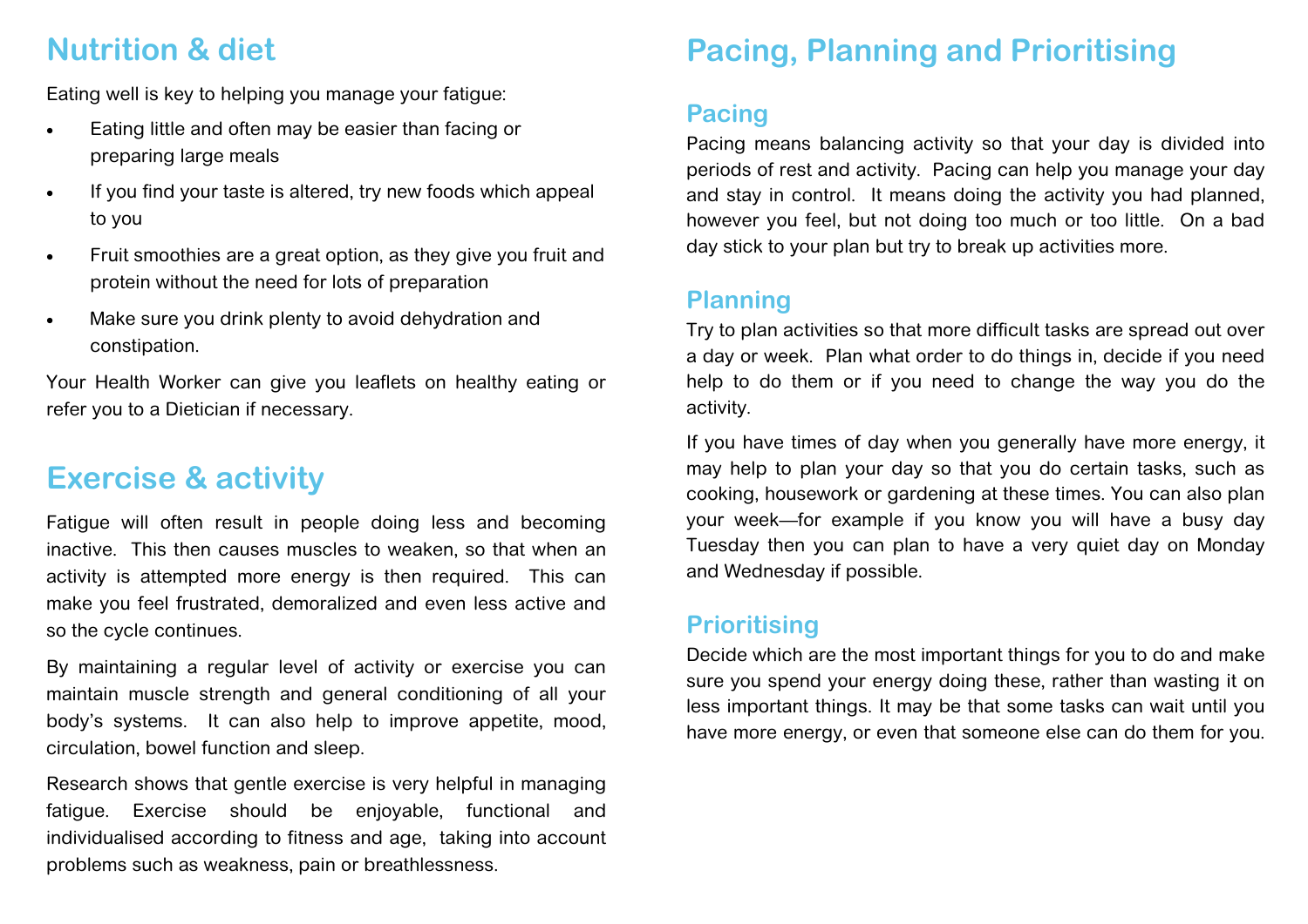## **Nutrition & diet**

Eating well is key to helping you manage your fatigue:

- Eating little and often may be easier than facing or preparing large meals
- If you find your taste is altered, try new foods which appeal to you
- Fruit smoothies are a great option, as they give you fruit and protein without the need for lots of preparation
- Make sure you drink plenty to avoid dehydration and constipation.

Your Health Worker can give you leaflets on healthy eating or refer you to a Dietician if necessary.

# **Exercise & activity**

Fatigue will often result in people doing less and becoming inactive. This then causes muscles to weaken, so that when an activity is attempted more energy is then required. This can make you feel frustrated, demoralized and even less active and so the cycle continues.

By maintaining a regular level of activity or exercise you can maintain muscle strength and general conditioning of all your body's systems. It can also help to improve appetite, mood, circulation, bowel function and sleep.

Research shows that gentle exercise is very helpful in managing fatigue. Exercise should be enjoyable, functional and individualised according to fitness and age, taking into account problems such as weakness, pain or breathlessness.

# **Pacing, Planning and Prioritising**

#### **Pacing**

Pacing means balancing activity so that your day is divided into periods of rest and activity. Pacing can help you manage your day and stay in control. It means doing the activity you had planned, however you feel, but not doing too much or too little. On a bad day stick to your plan but try to break up activities more.

#### **Planning**

Try to plan activities so that more difficult tasks are spread out over a day or week. Plan what order to do things in, decide if you need help to do them or if you need to change the way you do the activity.

If you have times of day when you generally have more energy, it may help to plan your day so that you do certain tasks, such as cooking, housework or gardening at these times. You can also plan your week—for example if you know you will have a busy day Tuesday then you can plan to have a very quiet day on Monday and Wednesday if possible.

#### **Prioritising**

Decide which are the most important things for you to do and make sure you spend your energy doing these, rather than wasting it on less important things. It may be that some tasks can wait until you have more energy, or even that someone else can do them for you.